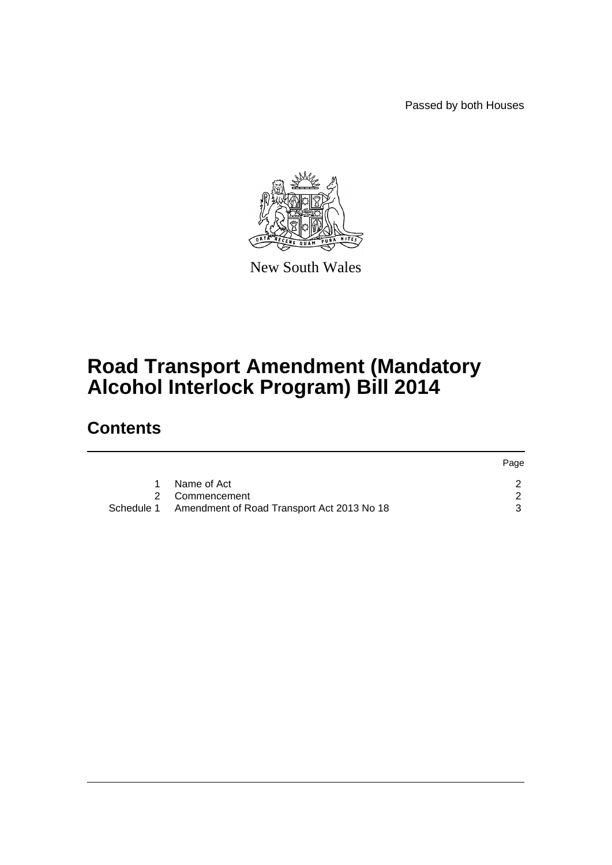Passed by both Houses



New South Wales

# **Road Transport Amendment (Mandatory Alcohol Interlock Program) Bill 2014**

## **Contents**

|                                                       | Page |
|-------------------------------------------------------|------|
| Name of Act                                           |      |
| 2 Commencement                                        |      |
| Schedule 1 Amendment of Road Transport Act 2013 No 18 |      |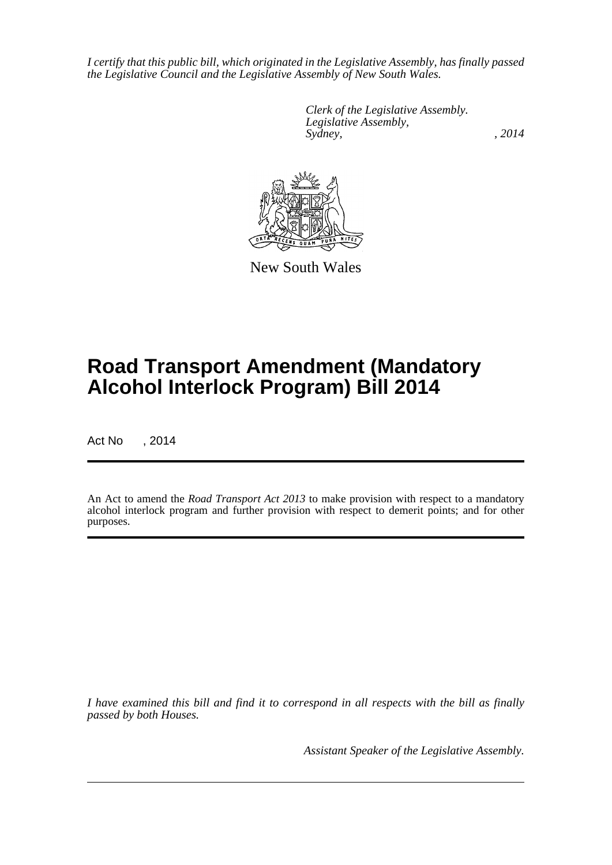*I certify that this public bill, which originated in the Legislative Assembly, has finally passed the Legislative Council and the Legislative Assembly of New South Wales.*

> *Clerk of the Legislative Assembly. Legislative Assembly, Sydney,* , 2014



New South Wales

# **Road Transport Amendment (Mandatory Alcohol Interlock Program) Bill 2014**

Act No , 2014

An Act to amend the *Road Transport Act 2013* to make provision with respect to a mandatory alcohol interlock program and further provision with respect to demerit points; and for other purposes.

*I have examined this bill and find it to correspond in all respects with the bill as finally passed by both Houses.*

*Assistant Speaker of the Legislative Assembly.*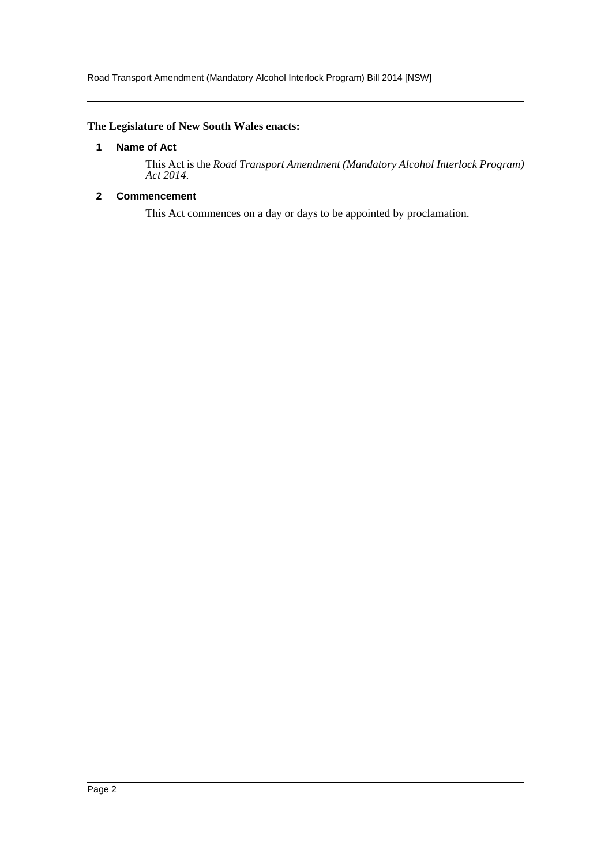Road Transport Amendment (Mandatory Alcohol Interlock Program) Bill 2014 [NSW]

## <span id="page-2-0"></span>**The Legislature of New South Wales enacts:**

## **1 Name of Act**

This Act is the *Road Transport Amendment (Mandatory Alcohol Interlock Program) Act 2014*.

## <span id="page-2-1"></span>**2 Commencement**

This Act commences on a day or days to be appointed by proclamation.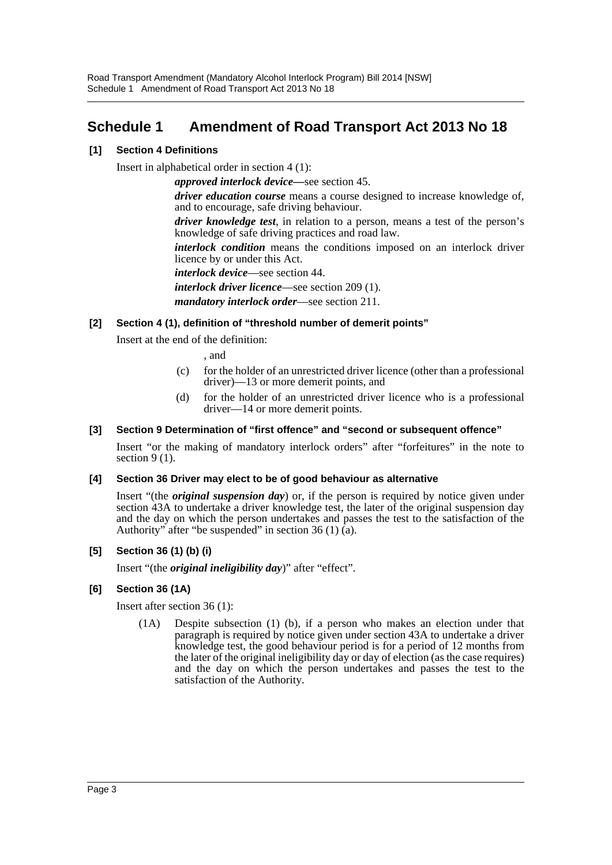## <span id="page-3-0"></span>**Schedule 1 Amendment of Road Transport Act 2013 No 18**

## **[1] Section 4 Definitions**

Insert in alphabetical order in section 4 (1):

*approved interlock device—*see section 45.

*driver education course* means a course designed to increase knowledge of, and to encourage, safe driving behaviour.

*driver knowledge test*, in relation to a person, means a test of the person's knowledge of safe driving practices and road law.

*interlock condition* means the conditions imposed on an interlock driver licence by or under this Act.

*interlock device*—see section 44.

*interlock driver licence*—see section 209 (1).

*mandatory interlock order*—see section 211.

## **[2] Section 4 (1), definition of "threshold number of demerit points"**

Insert at the end of the definition:

, and

- (c) for the holder of an unrestricted driver licence (other than a professional driver)—13 or more demerit points, and
- (d) for the holder of an unrestricted driver licence who is a professional driver—14 or more demerit points.

## **[3] Section 9 Determination of "first offence" and "second or subsequent offence"**

Insert "or the making of mandatory interlock orders" after "forfeitures" in the note to section 9 (1).

### **[4] Section 36 Driver may elect to be of good behaviour as alternative**

Insert "(the *original suspension day*) or, if the person is required by notice given under section 43A to undertake a driver knowledge test, the later of the original suspension day and the day on which the person undertakes and passes the test to the satisfaction of the Authority" after "be suspended" in section 36 (1) (a).

## **[5] Section 36 (1) (b) (i)**

Insert "(the *original ineligibility day*)" after "effect".

### **[6] Section 36 (1A)**

Insert after section 36 (1):

(1A) Despite subsection (1) (b), if a person who makes an election under that paragraph is required by notice given under section 43A to undertake a driver knowledge test, the good behaviour period is for a period of 12 months from the later of the original ineligibility day or day of election (as the case requires) and the day on which the person undertakes and passes the test to the satisfaction of the Authority.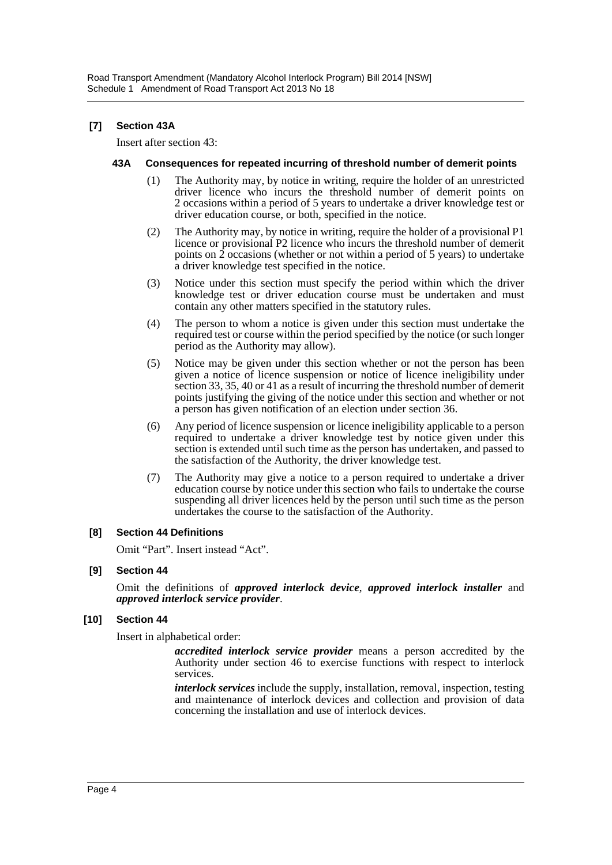## **[7] Section 43A**

Insert after section 43:

#### **43A Consequences for repeated incurring of threshold number of demerit points**

- (1) The Authority may, by notice in writing, require the holder of an unrestricted driver licence who incurs the threshold number of demerit points on 2 occasions within a period of 5 years to undertake a driver knowledge test or driver education course, or both, specified in the notice.
- (2) The Authority may, by notice in writing, require the holder of a provisional P1 licence or provisional P2 licence who incurs the threshold number of demerit points on  $\hat{2}$  occasions (whether or not within a period of 5 years) to undertake a driver knowledge test specified in the notice.
- (3) Notice under this section must specify the period within which the driver knowledge test or driver education course must be undertaken and must contain any other matters specified in the statutory rules.
- (4) The person to whom a notice is given under this section must undertake the required test or course within the period specified by the notice (or such longer period as the Authority may allow).
- (5) Notice may be given under this section whether or not the person has been given a notice of licence suspension or notice of licence ineligibility under section 33, 35, 40 or 41 as a result of incurring the threshold number of demerit points justifying the giving of the notice under this section and whether or not a person has given notification of an election under section 36.
- (6) Any period of licence suspension or licence ineligibility applicable to a person required to undertake a driver knowledge test by notice given under this section is extended until such time as the person has undertaken, and passed to the satisfaction of the Authority, the driver knowledge test.
- (7) The Authority may give a notice to a person required to undertake a driver education course by notice under this section who fails to undertake the course suspending all driver licences held by the person until such time as the person undertakes the course to the satisfaction of the Authority.

### **[8] Section 44 Definitions**

Omit "Part". Insert instead "Act".

### **[9] Section 44**

Omit the definitions of *approved interlock device*, *approved interlock installer* and *approved interlock service provider*.

## **[10] Section 44**

Insert in alphabetical order:

*accredited interlock service provider* means a person accredited by the Authority under section 46 to exercise functions with respect to interlock services.

*interlock services* include the supply, installation, removal, inspection, testing and maintenance of interlock devices and collection and provision of data concerning the installation and use of interlock devices.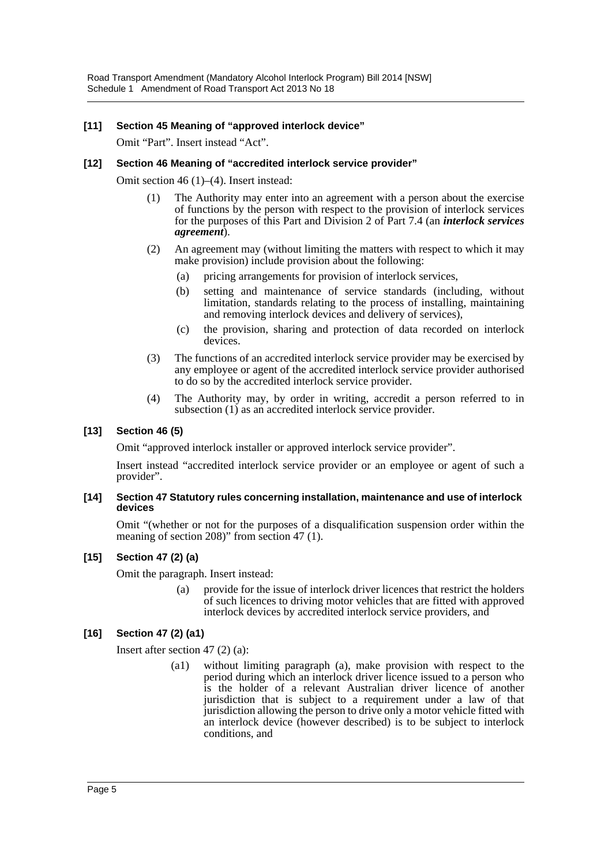## **[11] Section 45 Meaning of "approved interlock device"**

Omit "Part". Insert instead "Act".

### **[12] Section 46 Meaning of "accredited interlock service provider"**

Omit section 46 (1)–(4). Insert instead:

- (1) The Authority may enter into an agreement with a person about the exercise of functions by the person with respect to the provision of interlock services for the purposes of this Part and Division 2 of Part 7.4 (an *interlock services agreement*).
- (2) An agreement may (without limiting the matters with respect to which it may make provision) include provision about the following:
	- (a) pricing arrangements for provision of interlock services,
	- (b) setting and maintenance of service standards (including, without limitation, standards relating to the process of installing, maintaining and removing interlock devices and delivery of services),
	- (c) the provision, sharing and protection of data recorded on interlock devices.
- (3) The functions of an accredited interlock service provider may be exercised by any employee or agent of the accredited interlock service provider authorised to do so by the accredited interlock service provider.
- (4) The Authority may, by order in writing, accredit a person referred to in subsection (1) as an accredited interlock service provider.

## **[13] Section 46 (5)**

Omit "approved interlock installer or approved interlock service provider".

Insert instead "accredited interlock service provider or an employee or agent of such a provider".

#### **[14] Section 47 Statutory rules concerning installation, maintenance and use of interlock devices**

Omit "(whether or not for the purposes of a disqualification suspension order within the meaning of section 208)" from section 47 (1).

### **[15] Section 47 (2) (a)**

Omit the paragraph. Insert instead:

(a) provide for the issue of interlock driver licences that restrict the holders of such licences to driving motor vehicles that are fitted with approved interlock devices by accredited interlock service providers, and

## **[16] Section 47 (2) (a1)**

Insert after section 47 (2) (a):

(a1) without limiting paragraph (a), make provision with respect to the period during which an interlock driver licence issued to a person who is the holder of a relevant Australian driver licence of another jurisdiction that is subject to a requirement under a law of that jurisdiction allowing the person to drive only a motor vehicle fitted with an interlock device (however described) is to be subject to interlock conditions, and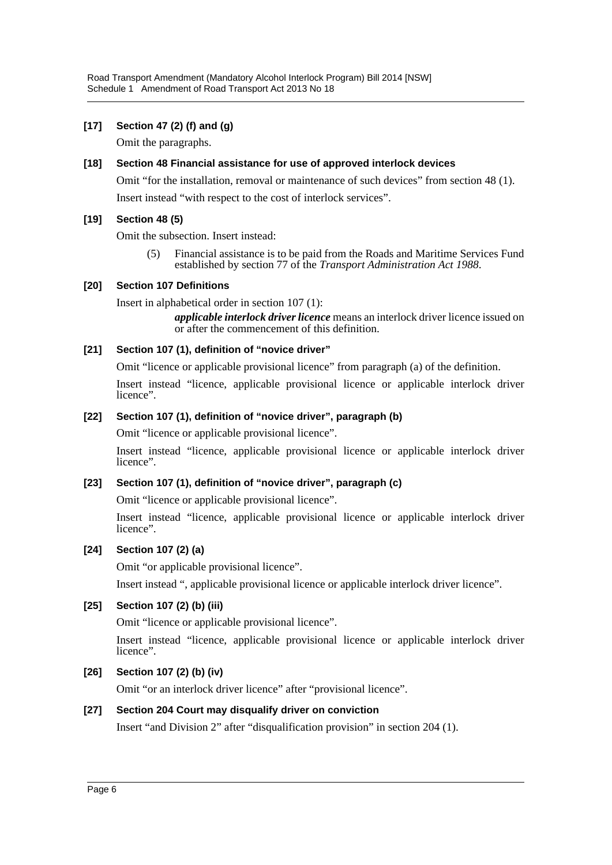## **[17] Section 47 (2) (f) and (g)**

Omit the paragraphs.

## **[18] Section 48 Financial assistance for use of approved interlock devices**

Omit "for the installation, removal or maintenance of such devices" from section 48 (1). Insert instead "with respect to the cost of interlock services".

## **[19] Section 48 (5)**

Omit the subsection. Insert instead:

(5) Financial assistance is to be paid from the Roads and Maritime Services Fund established by section 77 of the *Transport Administration Act 1988*.

## **[20] Section 107 Definitions**

Insert in alphabetical order in section 107 (1):

*applicable interlock driver licence* means an interlock driver licence issued on or after the commencement of this definition.

## **[21] Section 107 (1), definition of "novice driver"**

Omit "licence or applicable provisional licence" from paragraph (a) of the definition.

Insert instead "licence, applicable provisional licence or applicable interlock driver licence".

## **[22] Section 107 (1), definition of "novice driver", paragraph (b)**

Omit "licence or applicable provisional licence".

Insert instead "licence, applicable provisional licence or applicable interlock driver licence".

## **[23] Section 107 (1), definition of "novice driver", paragraph (c)**

Omit "licence or applicable provisional licence".

Insert instead "licence, applicable provisional licence or applicable interlock driver licence".

## **[24] Section 107 (2) (a)**

Omit "or applicable provisional licence".

Insert instead ", applicable provisional licence or applicable interlock driver licence".

## **[25] Section 107 (2) (b) (iii)**

Omit "licence or applicable provisional licence".

Insert instead "licence, applicable provisional licence or applicable interlock driver licence".

## **[26] Section 107 (2) (b) (iv)**

Omit "or an interlock driver licence" after "provisional licence".

## **[27] Section 204 Court may disqualify driver on conviction**

Insert "and Division 2" after "disqualification provision" in section 204 (1).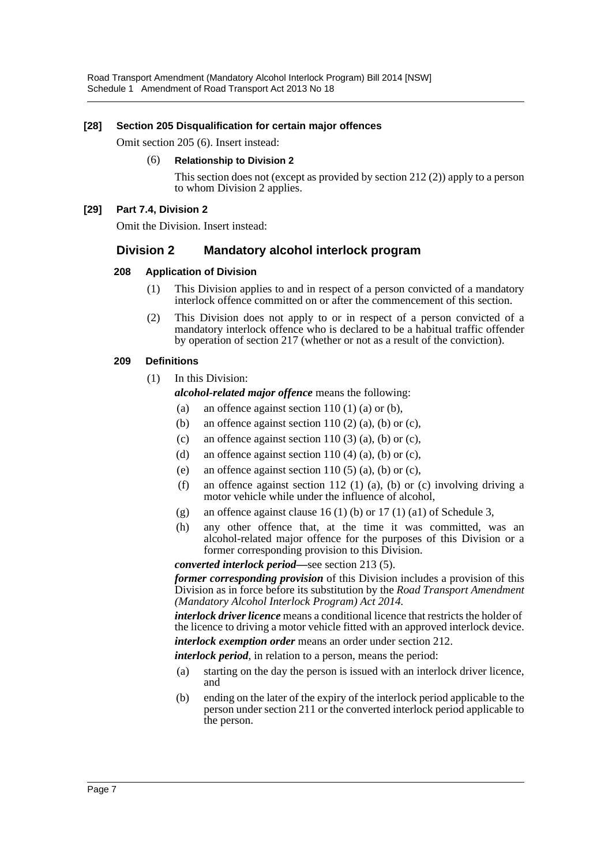## **[28] Section 205 Disqualification for certain major offences**

Omit section 205 (6). Insert instead:

#### (6) **Relationship to Division 2**

This section does not (except as provided by section 212 (2)) apply to a person to whom Division 2 applies.

#### **[29] Part 7.4, Division 2**

Omit the Division. Insert instead:

## **Division 2 Mandatory alcohol interlock program**

#### **208 Application of Division**

- (1) This Division applies to and in respect of a person convicted of a mandatory interlock offence committed on or after the commencement of this section.
- (2) This Division does not apply to or in respect of a person convicted of a mandatory interlock offence who is declared to be a habitual traffic offender by operation of section 217 (whether or not as a result of the conviction).

#### **209 Definitions**

(1) In this Division:

*alcohol-related major offence* means the following:

- (a) an offence against section  $110(1)$  (a) or (b),
- (b) an offence against section 110 (2) (a), (b) or (c),
- (c) an offence against section 110 (3) (a), (b) or (c),
- (d) an offence against section 110 (4) (a), (b) or (c),
- (e) an offence against section 110 (5) (a), (b) or (c),
- (f) an offence against section 112 (1) (a), (b) or (c) involving driving a motor vehicle while under the influence of alcohol,
- (g) an offence against clause 16 (1) (b) or 17 (1) (a1) of Schedule 3,
- (h) any other offence that, at the time it was committed, was an alcohol-related major offence for the purposes of this Division or a former corresponding provision to this Division.

*converted interlock period—*see section 213 (5).

*former corresponding provision* of this Division includes a provision of this Division as in force before its substitution by the *Road Transport Amendment (Mandatory Alcohol Interlock Program) Act 2014.*

*interlock driver licence* means a conditional licence that restricts the holder of the licence to driving a motor vehicle fitted with an approved interlock device.

*interlock exemption order* means an order under section 212.

*interlock period*, in relation to a person, means the period:

- (a) starting on the day the person is issued with an interlock driver licence, and
- (b) ending on the later of the expiry of the interlock period applicable to the person under section 211 or the converted interlock period applicable to the person.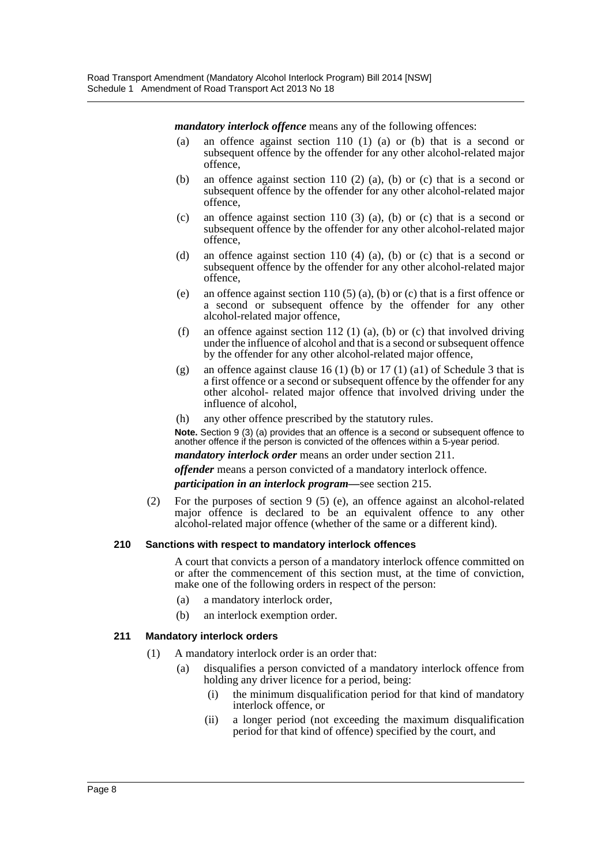*mandatory interlock offence* means any of the following offences:

- (a) an offence against section 110 (1) (a) or (b) that is a second or subsequent offence by the offender for any other alcohol-related major offence,
- (b) an offence against section 110 (2) (a), (b) or (c) that is a second or subsequent offence by the offender for any other alcohol-related major offence,
- (c) an offence against section 110 (3) (a), (b) or (c) that is a second or subsequent offence by the offender for any other alcohol-related major offence,
- (d) an offence against section 110 (4) (a), (b) or (c) that is a second or subsequent offence by the offender for any other alcohol-related major offence,
- (e) an offence against section 110 (5) (a), (b) or (c) that is a first offence or a second or subsequent offence by the offender for any other alcohol-related major offence,
- (f) an offence against section 112 (1) (a), (b) or (c) that involved driving under the influence of alcohol and that is a second or subsequent offence by the offender for any other alcohol-related major offence,
- (g) an offence against clause 16 (1) (b) or 17 (1) (a1) of Schedule 3 that is a first offence or a second or subsequent offence by the offender for any other alcohol- related major offence that involved driving under the influence of alcohol,
- (h) any other offence prescribed by the statutory rules.

**Note.** Section 9 (3) (a) provides that an offence is a second or subsequent offence to another offence if the person is convicted of the offences within a 5-year period.

*mandatory interlock order* means an order under section 211.

*offender* means a person convicted of a mandatory interlock offence.

*participation in an interlock program—*see section 215.

(2) For the purposes of section 9 (5) (e), an offence against an alcohol-related major offence is declared to be an equivalent offence to any other alcohol-related major offence (whether of the same or a different kind).

## **210 Sanctions with respect to mandatory interlock offences**

A court that convicts a person of a mandatory interlock offence committed on or after the commencement of this section must, at the time of conviction, make one of the following orders in respect of the person:

- (a) a mandatory interlock order,
- (b) an interlock exemption order.

### **211 Mandatory interlock orders**

- (1) A mandatory interlock order is an order that:
	- (a) disqualifies a person convicted of a mandatory interlock offence from holding any driver licence for a period, being:
		- (i) the minimum disqualification period for that kind of mandatory interlock offence, or
		- (ii) a longer period (not exceeding the maximum disqualification period for that kind of offence) specified by the court, and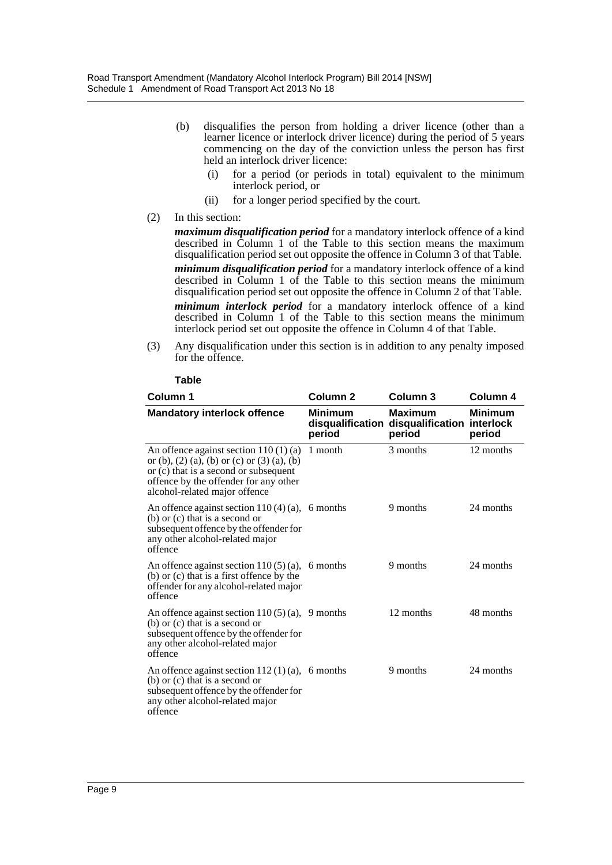- (b) disqualifies the person from holding a driver licence (other than a learner licence or interlock driver licence) during the period of 5 years commencing on the day of the conviction unless the person has first held an interlock driver licence:
	- (i) for a period (or periods in total) equivalent to the minimum interlock period, or
	- (ii) for a longer period specified by the court.
- (2) In this section:

*maximum disqualification period* for a mandatory interlock offence of a kind described in Column 1 of the Table to this section means the maximum disqualification period set out opposite the offence in Column 3 of that Table.

*minimum disqualification period* for a mandatory interlock offence of a kind described in Column 1 of the Table to this section means the minimum disqualification period set out opposite the offence in Column 2 of that Table.

*minimum interlock period* for a mandatory interlock offence of a kind described in Column 1 of the Table to this section means the minimum interlock period set out opposite the offence in Column 4 of that Table.

(3) Any disqualification under this section is in addition to any penalty imposed for the offence.

| Column 1                                                                                                                                                                                                 | Column <sub>2</sub>      | Column 3                                                                | Column 4                 |
|----------------------------------------------------------------------------------------------------------------------------------------------------------------------------------------------------------|--------------------------|-------------------------------------------------------------------------|--------------------------|
| <b>Mandatory interlock offence</b>                                                                                                                                                                       | <b>Minimum</b><br>period | <b>Maximum</b><br>disqualification disqualification interlock<br>period | <b>Minimum</b><br>period |
| An offence against section $110(1)(a)$<br>or (b), (2) (a), (b) or (c) or (3) (a), (b)<br>or (c) that is a second or subsequent<br>offence by the offender for any other<br>alcohol-related major offence | 1 month                  | 3 months                                                                | 12 months                |
| An offence against section $110(4)(a)$ , 6 months<br>$(b)$ or $(c)$ that is a second or<br>subsequent offence by the offender for<br>any other alcohol-related major<br>offence                          |                          | 9 months                                                                | 24 months                |
| An offence against section $110(5)(a)$ ,<br>$(b)$ or $(c)$ that is a first offence by the<br>offender for any alcohol-related major<br>offence                                                           | 6 months                 | 9 months                                                                | 24 months                |
| An offence against section $110(5)(a)$ , 9 months<br>$(b)$ or $(c)$ that is a second or<br>subsequent offence by the offender for<br>any other alcohol-related major<br>offence                          |                          | 12 months                                                               | 48 months                |
| An offence against section $112(1)(a)$ , 6 months<br>$(b)$ or $(c)$ that is a second or<br>subsequent offence by the offender for<br>any other alcohol-related major<br>offence                          |                          | 9 months                                                                | 24 months                |

#### **Table**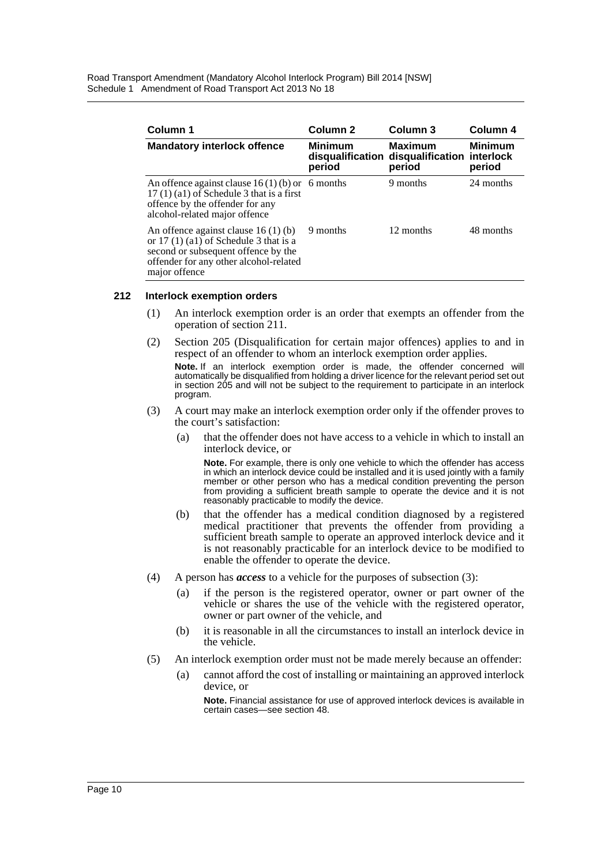Road Transport Amendment (Mandatory Alcohol Interlock Program) Bill 2014 [NSW] Schedule 1 Amendment of Road Transport Act 2013 No 18

| Column 1                                                                                                                                                                         | Column 2                 | Column 3                                                      | Column 4                              |
|----------------------------------------------------------------------------------------------------------------------------------------------------------------------------------|--------------------------|---------------------------------------------------------------|---------------------------------------|
| <b>Mandatory interlock offence</b>                                                                                                                                               | <b>Minimum</b><br>period | <b>Maximum</b><br>disqualification disqualification<br>period | <b>Minimum</b><br>interlock<br>period |
| An offence against clause $16(1)(b)$ or 6 months<br>$17(1)(a1)$ of Schedule 3 that is a first<br>offence by the offender for any<br>alcohol-related major offence                |                          | 9 months                                                      | 24 months                             |
| An offence against clause $16(1)(b)$<br>or $17(1)(a1)$ of Schedule 3 that is a<br>second or subsequent offence by the<br>offender for any other alcohol-related<br>major offence | 9 months                 | 12 months                                                     | 48 months                             |

#### **212 Interlock exemption orders**

- (1) An interlock exemption order is an order that exempts an offender from the operation of section 211.
- (2) Section 205 (Disqualification for certain major offences) applies to and in respect of an offender to whom an interlock exemption order applies. **Note.** If an interlock exemption order is made, the offender concerned will

automatically be disqualified from holding a driver licence for the relevant period set out in section 205 and will not be subject to the requirement to participate in an interlock program.

- (3) A court may make an interlock exemption order only if the offender proves to the court's satisfaction:
	- (a) that the offender does not have access to a vehicle in which to install an interlock device, or

**Note.** For example, there is only one vehicle to which the offender has access in which an interlock device could be installed and it is used jointly with a family member or other person who has a medical condition preventing the person from providing a sufficient breath sample to operate the device and it is not reasonably practicable to modify the device.

- (b) that the offender has a medical condition diagnosed by a registered medical practitioner that prevents the offender from providing a sufficient breath sample to operate an approved interlock device and it is not reasonably practicable for an interlock device to be modified to enable the offender to operate the device.
- (4) A person has *access* to a vehicle for the purposes of subsection (3):
	- (a) if the person is the registered operator, owner or part owner of the vehicle or shares the use of the vehicle with the registered operator, owner or part owner of the vehicle, and
	- (b) it is reasonable in all the circumstances to install an interlock device in the vehicle.
- (5) An interlock exemption order must not be made merely because an offender:
	- (a) cannot afford the cost of installing or maintaining an approved interlock device, or

**Note.** Financial assistance for use of approved interlock devices is available in certain cases—see section 48.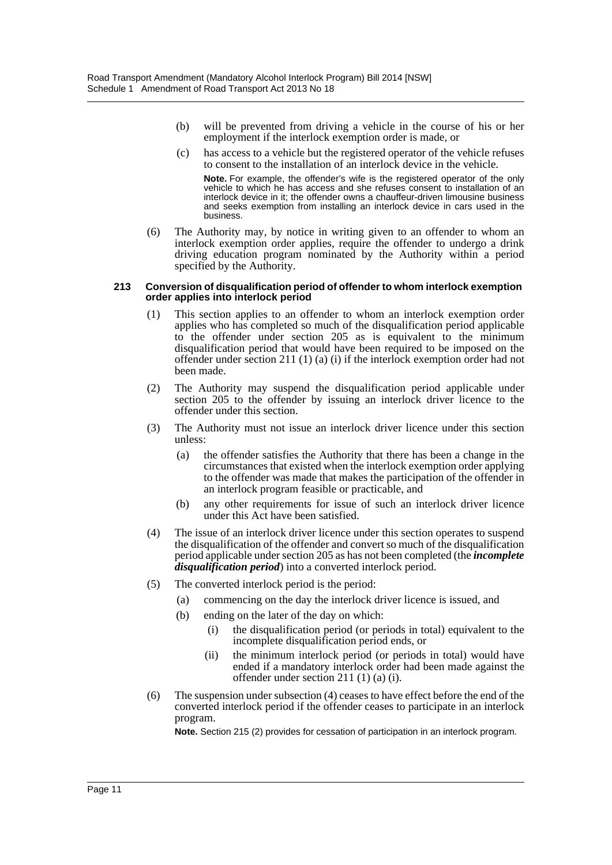- (b) will be prevented from driving a vehicle in the course of his or her employment if the interlock exemption order is made, or
- (c) has access to a vehicle but the registered operator of the vehicle refuses to consent to the installation of an interlock device in the vehicle.

**Note.** For example, the offender's wife is the registered operator of the only vehicle to which he has access and she refuses consent to installation of an interlock device in it; the offender owns a chauffeur-driven limousine business and seeks exemption from installing an interlock device in cars used in the business.

(6) The Authority may, by notice in writing given to an offender to whom an interlock exemption order applies, require the offender to undergo a drink driving education program nominated by the Authority within a period specified by the Authority.

#### **213 Conversion of disqualification period of offender to whom interlock exemption order applies into interlock period**

- (1) This section applies to an offender to whom an interlock exemption order applies who has completed so much of the disqualification period applicable to the offender under section 205 as is equivalent to the minimum disqualification period that would have been required to be imposed on the offender under section 211 (1) (a) (i) if the interlock exemption order had not been made.
- (2) The Authority may suspend the disqualification period applicable under section 205 to the offender by issuing an interlock driver licence to the offender under this section.
- (3) The Authority must not issue an interlock driver licence under this section unless:
	- (a) the offender satisfies the Authority that there has been a change in the circumstances that existed when the interlock exemption order applying to the offender was made that makes the participation of the offender in an interlock program feasible or practicable, and
	- (b) any other requirements for issue of such an interlock driver licence under this Act have been satisfied.
- (4) The issue of an interlock driver licence under this section operates to suspend the disqualification of the offender and convert so much of the disqualification period applicable under section 205 as has not been completed (the *incomplete disqualification period*) into a converted interlock period.
- (5) The converted interlock period is the period:
	- (a) commencing on the day the interlock driver licence is issued, and
	- (b) ending on the later of the day on which:
		- (i) the disqualification period (or periods in total) equivalent to the incomplete disqualification period ends, or
		- (ii) the minimum interlock period (or periods in total) would have ended if a mandatory interlock order had been made against the offender under section 211 (1) (a) (i).
- (6) The suspension under subsection (4) ceases to have effect before the end of the converted interlock period if the offender ceases to participate in an interlock program.

**Note.** Section 215 (2) provides for cessation of participation in an interlock program.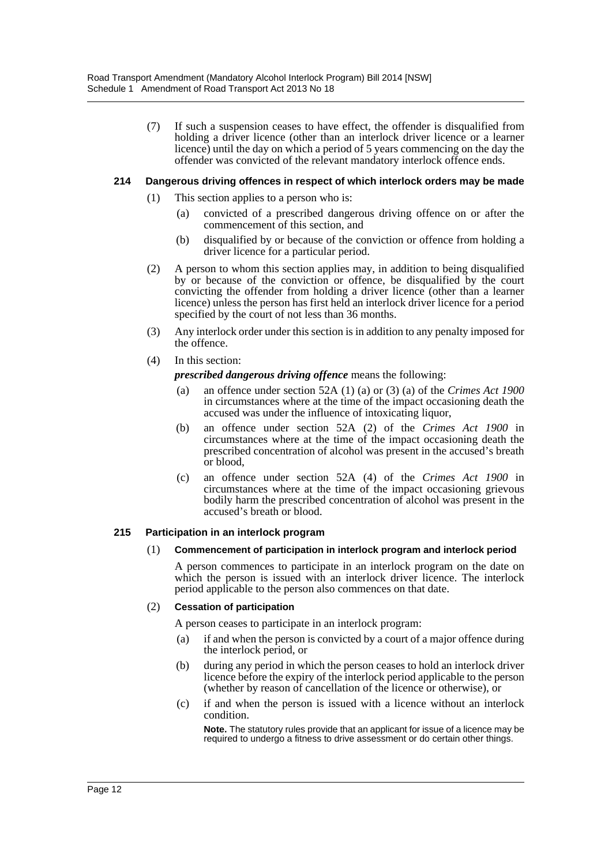(7) If such a suspension ceases to have effect, the offender is disqualified from holding a driver licence (other than an interlock driver licence or a learner licence) until the day on which a period of 5 years commencing on the day the offender was convicted of the relevant mandatory interlock offence ends.

## **214 Dangerous driving offences in respect of which interlock orders may be made**

- (1) This section applies to a person who is:
	- (a) convicted of a prescribed dangerous driving offence on or after the commencement of this section, and
	- (b) disqualified by or because of the conviction or offence from holding a driver licence for a particular period.
- (2) A person to whom this section applies may, in addition to being disqualified by or because of the conviction or offence, be disqualified by the court convicting the offender from holding a driver licence (other than a learner licence) unless the person has first held an interlock driver licence for a period specified by the court of not less than 36 months.
- (3) Any interlock order under this section is in addition to any penalty imposed for the offence.
- (4) In this section:
	- *prescribed dangerous driving offence* means the following:
	- (a) an offence under section 52A (1) (a) or (3) (a) of the *Crimes Act 1900* in circumstances where at the time of the impact occasioning death the accused was under the influence of intoxicating liquor,
	- (b) an offence under section 52A (2) of the *Crimes Act 1900* in circumstances where at the time of the impact occasioning death the prescribed concentration of alcohol was present in the accused's breath or blood,
	- (c) an offence under section 52A (4) of the *Crimes Act 1900* in circumstances where at the time of the impact occasioning grievous bodily harm the prescribed concentration of alcohol was present in the accused's breath or blood.

### **215 Participation in an interlock program**

### (1) **Commencement of participation in interlock program and interlock period**

A person commences to participate in an interlock program on the date on which the person is issued with an interlock driver licence. The interlock period applicable to the person also commences on that date.

### (2) **Cessation of participation**

A person ceases to participate in an interlock program:

- (a) if and when the person is convicted by a court of a major offence during the interlock period, or
- (b) during any period in which the person ceases to hold an interlock driver licence before the expiry of the interlock period applicable to the person (whether by reason of cancellation of the licence or otherwise), or
- (c) if and when the person is issued with a licence without an interlock condition.

**Note.** The statutory rules provide that an applicant for issue of a licence may be required to undergo a fitness to drive assessment or do certain other things.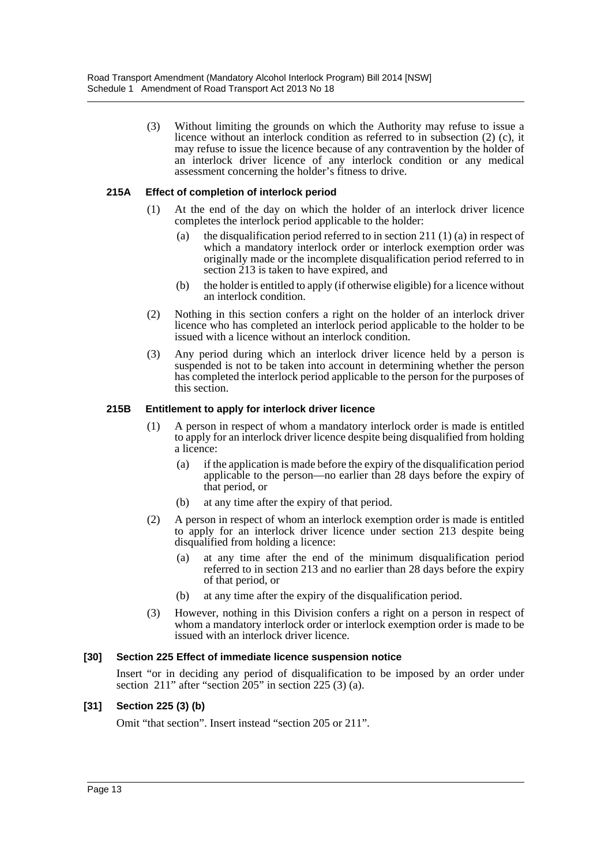(3) Without limiting the grounds on which the Authority may refuse to issue a licence without an interlock condition as referred to in subsection (2) (c), it may refuse to issue the licence because of any contravention by the holder of an interlock driver licence of any interlock condition or any medical assessment concerning the holder's fitness to drive.

## **215A Effect of completion of interlock period**

- (1) At the end of the day on which the holder of an interlock driver licence completes the interlock period applicable to the holder:
	- (a) the disqualification period referred to in section 211 (1) (a) in respect of which a mandatory interlock order or interlock exemption order was originally made or the incomplete disqualification period referred to in section 213 is taken to have expired, and
	- (b) the holder is entitled to apply (if otherwise eligible) for a licence without an interlock condition.
- (2) Nothing in this section confers a right on the holder of an interlock driver licence who has completed an interlock period applicable to the holder to be issued with a licence without an interlock condition.
- (3) Any period during which an interlock driver licence held by a person is suspended is not to be taken into account in determining whether the person has completed the interlock period applicable to the person for the purposes of this section.

## **215B Entitlement to apply for interlock driver licence**

- (1) A person in respect of whom a mandatory interlock order is made is entitled to apply for an interlock driver licence despite being disqualified from holding a licence:
	- (a) if the application is made before the expiry of the disqualification period applicable to the person—no earlier than 28 days before the expiry of that period, or
	- (b) at any time after the expiry of that period.
- (2) A person in respect of whom an interlock exemption order is made is entitled to apply for an interlock driver licence under section 213 despite being disqualified from holding a licence:
	- (a) at any time after the end of the minimum disqualification period referred to in section 213 and no earlier than 28 days before the expiry of that period, or
	- (b) at any time after the expiry of the disqualification period.
- (3) However, nothing in this Division confers a right on a person in respect of whom a mandatory interlock order or interlock exemption order is made to be issued with an interlock driver licence.

### **[30] Section 225 Effect of immediate licence suspension notice**

Insert "or in deciding any period of disqualification to be imposed by an order under section 211" after "section  $\overline{205}$ " in section 225 (3) (a).

## **[31] Section 225 (3) (b)**

Omit "that section". Insert instead "section 205 or 211".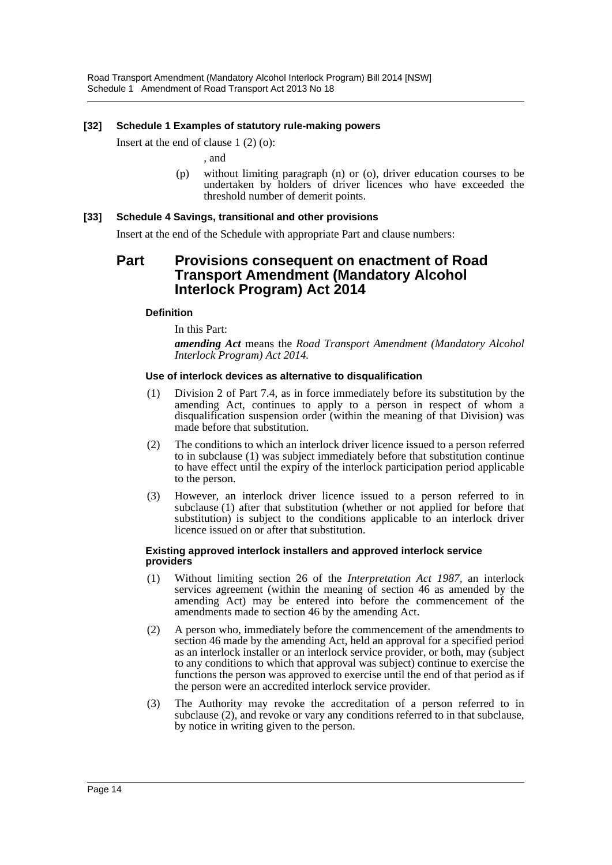## **[32] Schedule 1 Examples of statutory rule-making powers**

Insert at the end of clause 1 (2) (o):

, and

(p) without limiting paragraph (n) or (o), driver education courses to be undertaken by holders of driver licences who have exceeded the threshold number of demerit points.

### **[33] Schedule 4 Savings, transitional and other provisions**

Insert at the end of the Schedule with appropriate Part and clause numbers:

## **Part Provisions consequent on enactment of Road Transport Amendment (Mandatory Alcohol Interlock Program) Act 2014**

### **Definition**

In this Part:

*amending Act* means the *Road Transport Amendment (Mandatory Alcohol Interlock Program) Act 2014.*

#### **Use of interlock devices as alternative to disqualification**

- (1) Division 2 of Part 7.4, as in force immediately before its substitution by the amending Act, continues to apply to a person in respect of whom a disqualification suspension order (within the meaning of that Division) was made before that substitution.
- (2) The conditions to which an interlock driver licence issued to a person referred to in subclause (1) was subject immediately before that substitution continue to have effect until the expiry of the interlock participation period applicable to the person.
- (3) However, an interlock driver licence issued to a person referred to in subclause (1) after that substitution (whether or not applied for before that substitution) is subject to the conditions applicable to an interlock driver licence issued on or after that substitution.

#### **Existing approved interlock installers and approved interlock service providers**

- (1) Without limiting section 26 of the *Interpretation Act 1987,* an interlock services agreement (within the meaning of section 46 as amended by the amending Act) may be entered into before the commencement of the amendments made to section 46 by the amending Act.
- (2) A person who, immediately before the commencement of the amendments to section 46 made by the amending Act, held an approval for a specified period as an interlock installer or an interlock service provider, or both, may (subject to any conditions to which that approval was subject) continue to exercise the functions the person was approved to exercise until the end of that period as if the person were an accredited interlock service provider.
- (3) The Authority may revoke the accreditation of a person referred to in subclause (2), and revoke or vary any conditions referred to in that subclause, by notice in writing given to the person.